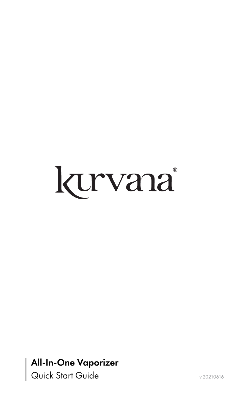

### All-In-One Vaporizer Quick Start Guide v.20210616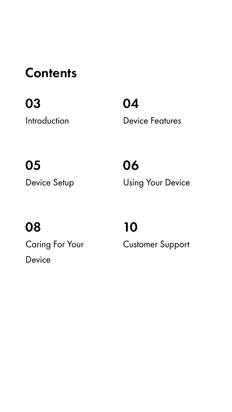### **Contents**

### 03

Introduction

05 Device Setup

### 08 Caring For Your Device

### 10 Customer Support

06 Using Your Device

04 Device Features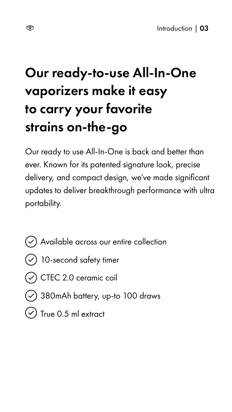

Our ready to use All-In-One is back and better than ever. Known for its patented signature look, precise delivery, and compact design, we've made significant updates to deliver breakthrough performance with ultra portability.



Available across our entire collection

- 10-second safety timer
- CTEC 2.0 ceramic coil
- 380mAh battery, up-to 100 draws
- True 0.5 ml extract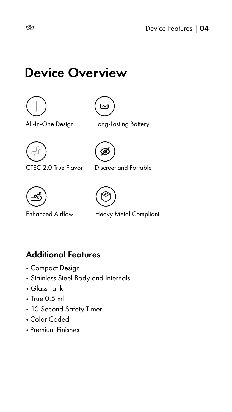

### Device Overview



#### Additional Features

- Compact Design
- Stainless Steel Body and Internals
- Glass Tank
- True 0.5 ml
- 10 Second Safety Timer
- Color Coded
- Premium Finishes

All-In-One Design







Enhanced Airflow Heavy Metal Compliant

Long-Lasting Battery

Discreet and Portable



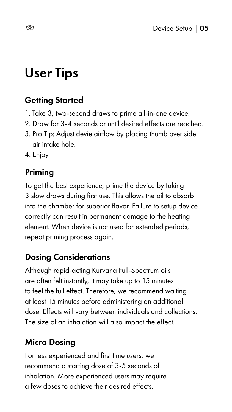# User Tips

#### Priming

To get the best experience, prime the device by taking 3 slow draws during first use. This allows the oil to absorb into the chamber for superior flavor. Failure to setup device correctly can result in permanent damage to the heating element. When device is not used for extended periods, repeat priming process again.



#### Dosing Considerations

Although rapid-acting Kurvana Full-Spectrum oils are often felt instantly, it may take up to 15 minutes to feel the full effect. Therefore, we recommend waiting at least 15 minutes before administering an additional dose. Effects will vary between individuals and collections. The size of an inhalation will also impact the effect.

#### Micro Dosing

For less experienced and first time users, we recommend a starting dose of 3-5 seconds of inhalation. More experienced users may require a few doses to achieve their desired effects.

#### Getting Started

- 1. Take 3, two-second draws to prime all-in-one device.
- 2. Draw for 3-4 seconds or until desired effects are reached.
- 3. Pro Tip: Adjust devie airflow by placing thumb over side air intake hole.
- 4. Enjoy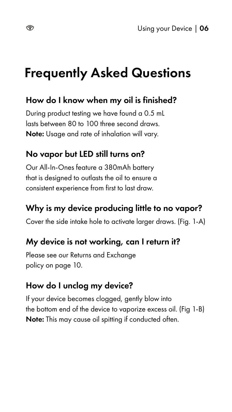# Frequently Asked Questions

#### How do I know when my oil is finished?

During product testing we have found a 0.5 mL lasts between 80 to 100 three second draws. Note: Usage and rate of inhalation will vary.

#### No vapor but LED still turns on?

Our All-In-Ones feature a 380mAh battery that is designed to outlasts the oil to ensure a consistent experience from first to last draw.



#### Why is my device producing little to no vapor?

Cover the side intake hole to activate larger draws. (Fig. 1-A)

#### My device is not working, can I return it?

Please see our Returns and Exchange policy on page 10.

#### How do I unclog my device?

If your device becomes clogged, gently blow into the bottom end of the device to vaporize excess oil. (Fig 1-B) Note: This may cause oil spitting if conducted often.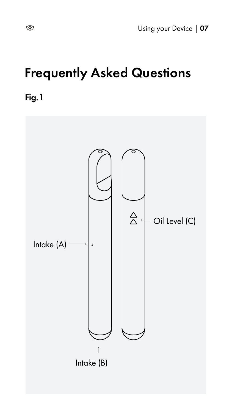Using your Device | 07

# Frequently Asked Questions





Fig.1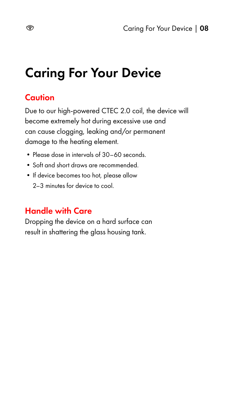# Caring For Your Device

#### **Caution**

Due to our high-powered CTEC 2.0 coil, the device will become extremely hot during excessive use and can cause clogging, leaking and/or permanent damage to the heating element.

- Please dose in intervals of 30–60 seconds.
- •Soft and short draws are recommended.
- If device becomes too hot, please allow 2–3 minutes for device to cool.



#### Handle with Care

Dropping the device on a hard surface can result in shattering the glass housing tank.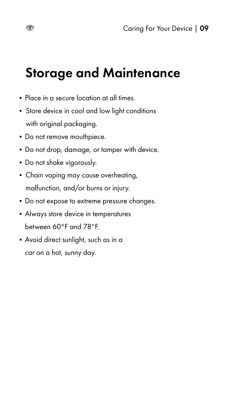# Storage and Maintenance

- Place in a secure location at all times.
- Store device in cool and low light conditions with original packaging.
- Do not remove mouthpiece.
- •Do not drop, damage, or tamper with device.
- Do not shake vigorously.
- Chain vaping may cause overheating, malfunction, and/or burns or injury.



- Do not expose to extreme pressure changes.
- •Always store device in temperatures between 60°F and 78°F.
- Avoid direct sunlight, such as in a car on a hot, sunny day.